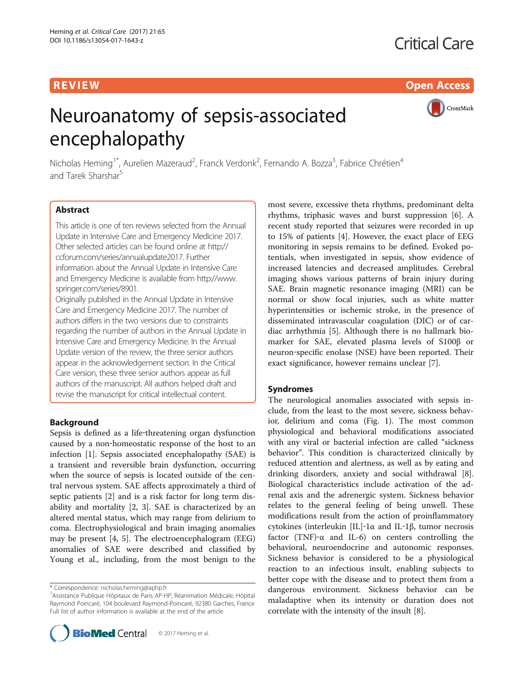R EVI EW Open Access

# Neuroanatomy of sepsis-associated encephalopathy

CrossMark

Nicholas Heming<sup>1\*</sup>, Aurelien Mazeraud<sup>2</sup>, Franck Verdonk<sup>2</sup>, Fernando A. Bozza<sup>3</sup>, Fabrice Chrétien<sup>4</sup> and Tarek Sharshar<sup>5</sup>

# Abstract

This article is one of ten reviews selected from the Annual Update in Intensive Care and Emergency Medicine 2017. Other selected articles can be found online at [http://](http://ccforum.com/series/annualupdate2017) [ccforum.com/series/annualupdate2017.](http://ccforum.com/series/annualupdate2017) Further information about the Annual Update in Intensive Care and Emergency Medicine is available from [http://www.](http://www.springer.com/series/8901) [springer.com/series/8901.](http://www.springer.com/series/8901)

Originally published in the Annual Update in Intensive Care and Emergency Medicine 2017. The number of authors differs in the two versions due to constraints regarding the number of authors in the Annual Update in Intensive Care and Emergency Medicine. In the Annual Update version of the review, the three senior authors appear in the acknowledgement section. In the Critical Care version, these three senior authors appear as full authors of the manuscript. All authors helped draft and revise the manuscript for critical intellectual content.

# Background

Sepsis is defined as a life-threatening organ dysfunction caused by a non‐homeostatic response of the host to an infection [[1\]](#page-4-0). Sepsis associated encephalopathy (SAE) is a transient and reversible brain dysfunction, occurring when the source of sepsis is located outside of the central nervous system. SAE affects approximately a third of septic patients [[2\]](#page-4-0) and is a risk factor for long term disability and mortality [[2, 3](#page-4-0)]. SAE is characterized by an altered mental status, which may range from delirium to coma. Electrophysiological and brain imaging anomalies may be present [[4](#page-4-0), [5](#page-4-0)]. The electroencephalogram (EEG) anomalies of SAE were described and classified by Young et al., including, from the most benign to the

most severe, excessive theta rhythms, predominant delta rhythms, triphasic waves and burst suppression [[6](#page-4-0)]. A recent study reported that seizures were recorded in up to 15% of patients [\[4](#page-4-0)]. However, the exact place of EEG monitoring in sepsis remains to be defined. Evoked potentials, when investigated in sepsis, show evidence of increased latencies and decreased amplitudes. Cerebral imaging shows various patterns of brain injury during SAE. Brain magnetic resonance imaging (MRI) can be normal or show focal injuries, such as white matter hyperintensities or ischemic stroke, in the presence of disseminated intravascular coagulation (DIC) or of cardiac arrhythmia [\[5](#page-4-0)]. Although there is no hallmark biomarker for SAE, elevated plasma levels of S100β or neuron‐specific enolase (NSE) have been reported. Their exact significance, however remains unclear [\[7](#page-4-0)].

# Syndromes

The neurological anomalies associated with sepsis include, from the least to the most severe, sickness behavior, delirium and coma (Fig. [1](#page-1-0)). The most common physiological and behavioral modifications associated with any viral or bacterial infection are called "sickness behavior". This condition is characterized clinically by reduced attention and alertness, as well as by eating and drinking disorders, anxiety and social withdrawal [\[8](#page-4-0)]. Biological characteristics include activation of the adrenal axis and the adrenergic system. Sickness behavior relates to the general feeling of being unwell. These modifications result from the action of proinflammatory cytokines (interleukin [IL]‐1α and IL‐1β, tumor necrosis factor (TNF)- $\alpha$  and IL-6) on centers controlling the behavioral, neuroendocrine and autonomic responses. Sickness behavior is considered to be a physiological reaction to an infectious insult, enabling subjects to better cope with the disease and to protect them from a dangerous environment. Sickness behavior can be maladaptive when its intensity or duration does not correlate with the intensity of the insult [[8](#page-4-0)].

<sup>\*</sup> Correspondence: [nicholas.heming@aphp.fr](mailto:nicholas.heming@aphp.fr) <sup>1</sup>

<sup>&</sup>lt;sup>1</sup> Assistance Publique Hôpitaux de Paris AP-HP, Réanimation Médicale, Hôpital Raymond Poincaré, 104 boulevard Raymond-Poincaré, 92380 Garches, France Full list of author information is available at the end of the article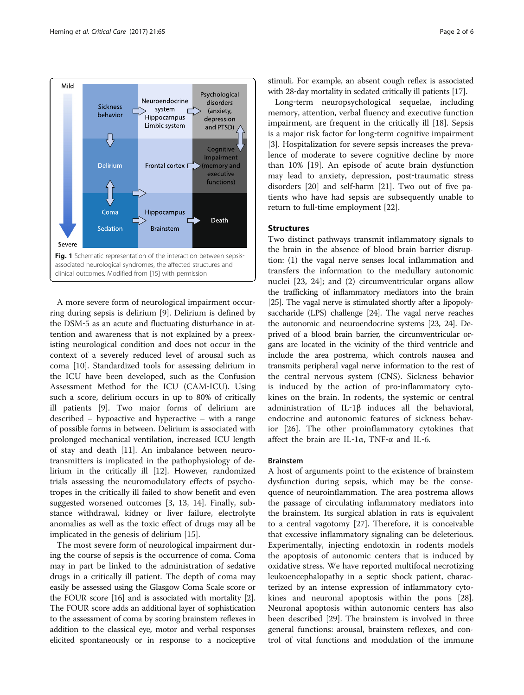<span id="page-1-0"></span>

A more severe form of neurological impairment occurring during sepsis is delirium [\[9](#page-4-0)]. Delirium is defined by the DSM‐5 as an acute and fluctuating disturbance in attention and awareness that is not explained by a preexisting neurological condition and does not occur in the context of a severely reduced level of arousal such as coma [\[10](#page-4-0)]. Standardized tools for assessing delirium in the ICU have been developed, such as the Confusion Assessment Method for the ICU (CAM‐ICU). Using such a score, delirium occurs in up to 80% of critically ill patients [[9\]](#page-4-0). Two major forms of delirium are described – hypoactive and hyperactive – with a range of possible forms in between. Delirium is associated with prolonged mechanical ventilation, increased ICU length of stay and death [[11\]](#page-4-0). An imbalance between neurotransmitters is implicated in the pathophysiology of delirium in the critically ill [\[12\]](#page-4-0). However, randomized trials assessing the neuromodulatory effects of psychotropes in the critically ill failed to show benefit and even suggested worsened outcomes [\[3](#page-4-0), [13, 14](#page-4-0)]. Finally, substance withdrawal, kidney or liver failure, electrolyte anomalies as well as the toxic effect of drugs may all be implicated in the genesis of delirium [\[15](#page-4-0)].

The most severe form of neurological impairment during the course of sepsis is the occurrence of coma. Coma may in part be linked to the administration of sedative drugs in a critically ill patient. The depth of coma may easily be assessed using the Glasgow Coma Scale score or the FOUR score [\[16\]](#page-4-0) and is associated with mortality [[2](#page-4-0)]. The FOUR score adds an additional layer of sophistication to the assessment of coma by scoring brainstem reflexes in addition to the classical eye, motor and verbal responses elicited spontaneously or in response to a nociceptive stimuli. For example, an absent cough reflex is associated with 28-day mortality in sedated critically ill patients [[17](#page-4-0)].

Long‐term neuropsychological sequelae, including memory, attention, verbal fluency and executive function impairment, are frequent in the critically ill [[18\]](#page-4-0). Sepsis is a major risk factor for long-term cognitive impairment [[3\]](#page-4-0). Hospitalization for severe sepsis increases the prevalence of moderate to severe cognitive decline by more than 10% [[19](#page-4-0)]. An episode of acute brain dysfunction may lead to anxiety, depression, post-traumatic stress disorders [[20\]](#page-4-0) and self-harm [\[21\]](#page-4-0). Two out of five patients who have had sepsis are subsequently unable to return to full-time employment [\[22](#page-4-0)].

# **Structures**

Two distinct pathways transmit inflammatory signals to the brain in the absence of blood brain barrier disruption: (1) the vagal nerve senses local inflammation and transfers the information to the medullary autonomic nuclei [\[23, 24](#page-4-0)]; and (2) circumventricular organs allow the trafficking of inflammatory mediators into the brain [[25](#page-4-0)]. The vagal nerve is stimulated shortly after a lipopolysaccharide (LPS) challenge [[24](#page-4-0)]. The vagal nerve reaches the autonomic and neuroendocrine systems [[23, 24\]](#page-4-0). Deprived of a blood brain barrier, the circumventricular organs are located in the vicinity of the third ventricle and include the area postrema, which controls nausea and transmits peripheral vagal nerve information to the rest of the central nervous system (CNS). Sickness behavior is induced by the action of pro-inflammatory cytokines on the brain. In rodents, the systemic or central administration of IL‐1β induces all the behavioral, endocrine and autonomic features of sickness behavior [\[26](#page-4-0)]. The other proinflammatory cytokines that affect the brain are IL‐1α, TNF‐α and IL‐6.

# Brainstem

A host of arguments point to the existence of brainstem dysfunction during sepsis, which may be the consequence of neuroinflammation. The area postrema allows the passage of circulating inflammatory mediators into the brainstem. Its surgical ablation in rats is equivalent to a central vagotomy [[27\]](#page-4-0). Therefore, it is conceivable that excessive inflammatory signaling can be deleterious. Experimentally, injecting endotoxin in rodents models the apoptosis of autonomic centers that is induced by oxidative stress. We have reported multifocal necrotizing leukoencephalopathy in a septic shock patient, characterized by an intense expression of inflammatory cytokines and neuronal apoptosis within the pons [\[28](#page-4-0)]. Neuronal apoptosis within autonomic centers has also been described [[29\]](#page-4-0). The brainstem is involved in three general functions: arousal, brainstem reflexes, and control of vital functions and modulation of the immune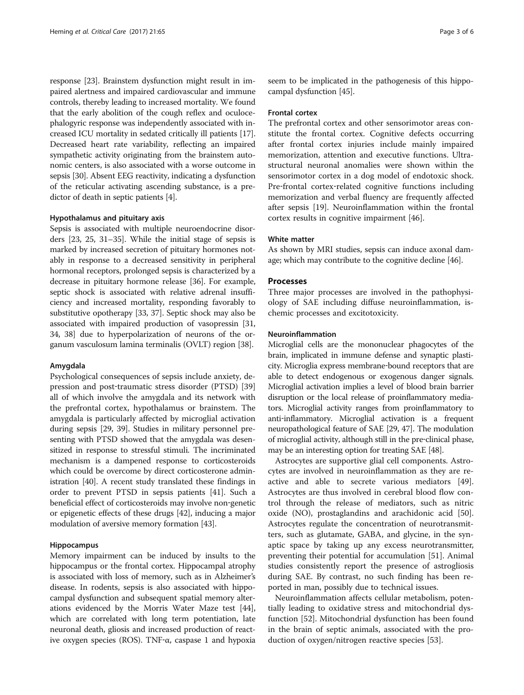response [[23](#page-4-0)]. Brainstem dysfunction might result in impaired alertness and impaired cardiovascular and immune controls, thereby leading to increased mortality. We found that the early abolition of the cough reflex and oculocephalogyric response was independently associated with increased ICU mortality in sedated critically ill patients [[17](#page-4-0)]. Decreased heart rate variability, reflecting an impaired sympathetic activity originating from the brainstem autonomic centers, is also associated with a worse outcome in sepsis [\[30\]](#page-4-0). Absent EEG reactivity, indicating a dysfunction of the reticular activating ascending substance, is a predictor of death in septic patients [\[4](#page-4-0)].

# Hypothalamus and pituitary axis

Sepsis is associated with multiple neuroendocrine disorders [[23, 25, 31](#page-4-0)–[35](#page-4-0)]. While the initial stage of sepsis is marked by increased secretion of pituitary hormones notably in response to a decreased sensitivity in peripheral hormonal receptors, prolonged sepsis is characterized by a decrease in pituitary hormone release [[36](#page-4-0)]. For example, septic shock is associated with relative adrenal insufficiency and increased mortality, responding favorably to substitutive opotherapy [[33](#page-4-0), [37](#page-4-0)]. Septic shock may also be associated with impaired production of vasopressin [[31](#page-4-0), [34](#page-4-0), [38\]](#page-4-0) due to hyperpolarization of neurons of the organum vasculosum lamina terminalis (OVLT) region [\[38](#page-4-0)].

# Amygdala

Psychological consequences of sepsis include anxiety, de-pression and post-traumatic stress disorder (PTSD) [[39](#page-4-0)] all of which involve the amygdala and its network with the prefrontal cortex, hypothalamus or brainstem. The amygdala is particularly affected by microglial activation during sepsis [\[29, 39](#page-4-0)]. Studies in military personnel presenting with PTSD showed that the amygdala was desensitized in response to stressful stimuli. The incriminated mechanism is a dampened response to corticosteroids which could be overcome by direct corticosterone administration [[40](#page-4-0)]. A recent study translated these findings in order to prevent PTSD in sepsis patients [[41](#page-4-0)]. Such a beneficial effect of corticosteroids may involve non‐genetic or epigenetic effects of these drugs [[42](#page-4-0)], inducing a major modulation of aversive memory formation [\[43](#page-4-0)].

# Hippocampus

Memory impairment can be induced by insults to the hippocampus or the frontal cortex. Hippocampal atrophy is associated with loss of memory, such as in Alzheimer's disease. In rodents, sepsis is also associated with hippocampal dysfunction and subsequent spatial memory alterations evidenced by the Morris Water Maze test [[44](#page-5-0)], which are correlated with long term potentiation, late neuronal death, gliosis and increased production of reactive oxygen species (ROS). TNF‐α, caspase 1 and hypoxia seem to be implicated in the pathogenesis of this hippocampal dysfunction [\[45\]](#page-5-0).

## Frontal cortex

The prefrontal cortex and other sensorimotor areas constitute the frontal cortex. Cognitive defects occurring after frontal cortex injuries include mainly impaired memorization, attention and executive functions. Ultrastructural neuronal anomalies were shown within the sensorimotor cortex in a dog model of endotoxic shock. Pre-frontal cortex-related cognitive functions including memorization and verbal fluency are frequently affected after sepsis [[19\]](#page-4-0). Neuroinflammation within the frontal cortex results in cognitive impairment [\[46](#page-5-0)].

# White matter

As shown by MRI studies, sepsis can induce axonal damage; which may contribute to the cognitive decline [[46](#page-5-0)].

# Processes

Three major processes are involved in the pathophysiology of SAE including diffuse neuroinflammation, ischemic processes and excitotoxicity.

# Neuroinflammation

Microglial cells are the mononuclear phagocytes of the brain, implicated in immune defense and synaptic plasticity. Microglia express membrane‐bound receptors that are able to detect endogenous or exogenous danger signals. Microglial activation implies a level of blood brain barrier disruption or the local release of proinflammatory mediators. Microglial activity ranges from proinflammatory to anti-inflammatory. Microglial activation is a frequent neuropathological feature of SAE [\[29,](#page-4-0) [47](#page-5-0)]. The modulation of microglial activity, although still in the pre‐clinical phase, may be an interesting option for treating SAE [\[48\]](#page-5-0).

Astrocytes are supportive glial cell components. Astrocytes are involved in neuroinflammation as they are reactive and able to secrete various mediators [\[49](#page-5-0)]. Astrocytes are thus involved in cerebral blood flow control through the release of mediators, such as nitric oxide (NO), prostaglandins and arachidonic acid [\[50](#page-5-0)]. Astrocytes regulate the concentration of neurotransmitters, such as glutamate, GABA, and glycine, in the synaptic space by taking up any excess neurotransmitter, preventing their potential for accumulation [\[51\]](#page-5-0). Animal studies consistently report the presence of astrogliosis during SAE. By contrast, no such finding has been reported in man, possibly due to technical issues.

Neuroinflammation affects cellular metabolism, potentially leading to oxidative stress and mitochondrial dysfunction [\[52](#page-5-0)]. Mitochondrial dysfunction has been found in the brain of septic animals, associated with the production of oxygen/nitrogen reactive species [[53\]](#page-5-0).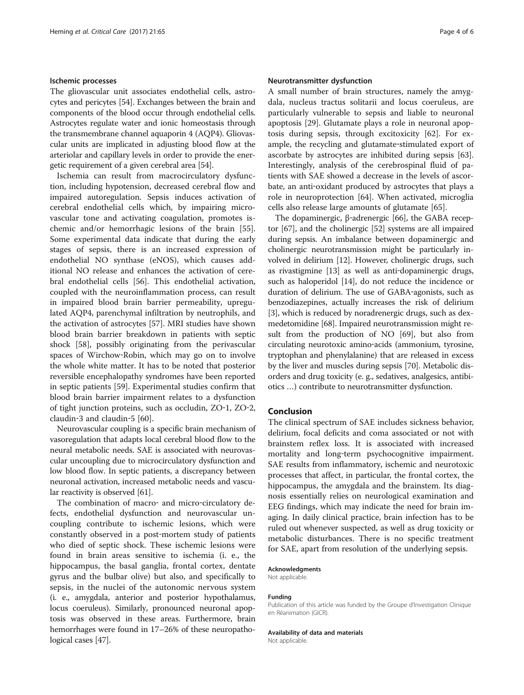# Ischemic processes

The gliovascular unit associates endothelial cells, astrocytes and pericytes [\[54\]](#page-5-0). Exchanges between the brain and components of the blood occur through endothelial cells. Astrocytes regulate water and ionic homeostasis through the transmembrane channel aquaporin 4 (AQP4). Gliovascular units are implicated in adjusting blood flow at the arteriolar and capillary levels in order to provide the energetic requirement of a given cerebral area [\[54\]](#page-5-0).

Ischemia can result from macrocirculatory dysfunction, including hypotension, decreased cerebral flow and impaired autoregulation. Sepsis induces activation of cerebral endothelial cells which, by impairing microvascular tone and activating coagulation, promotes ischemic and/or hemorrhagic lesions of the brain [\[55](#page-5-0)]. Some experimental data indicate that during the early stages of sepsis, there is an increased expression of endothelial NO synthase (eNOS), which causes additional NO release and enhances the activation of cerebral endothelial cells [\[56](#page-5-0)]. This endothelial activation, coupled with the neuroinflammation process, can result in impaired blood brain barrier permeability, upregulated AQP4, parenchymal infiltration by neutrophils, and the activation of astrocytes [\[57](#page-5-0)]. MRI studies have shown blood brain barrier breakdown in patients with septic shock [[58\]](#page-5-0), possibly originating from the perivascular spaces of Wirchow‐Robin, which may go on to involve the whole white matter. It has to be noted that posterior reversible encephalopathy syndromes have been reported in septic patients [[59](#page-5-0)]. Experimental studies confirm that blood brain barrier impairment relates to a dysfunction of tight junction proteins, such as occludin, ZO‐1, ZO‐2, claudin‐3 and claudin‐5 [[60](#page-5-0)].

Neurovascular coupling is a specific brain mechanism of vasoregulation that adapts local cerebral blood flow to the neural metabolic needs. SAE is associated with neurovascular uncoupling due to microcirculatory dysfunction and low blood flow. In septic patients, a discrepancy between neuronal activation, increased metabolic needs and vascular reactivity is observed [\[61\]](#page-5-0).

The combination of macro- and micro-circulatory defects, endothelial dysfunction and neurovascular uncoupling contribute to ischemic lesions, which were constantly observed in a post‐mortem study of patients who died of septic shock. These ischemic lesions were found in brain areas sensitive to ischemia (i. e., the hippocampus, the basal ganglia, frontal cortex, dentate gyrus and the bulbar olive) but also, and specifically to sepsis, in the nuclei of the autonomic nervous system (i. e., amygdala, anterior and posterior hypothalamus, locus coeruleus). Similarly, pronounced neuronal apoptosis was observed in these areas. Furthermore, brain hemorrhages were found in 17–26% of these neuropathological cases [\[47\]](#page-5-0).

# Neurotransmitter dysfunction

A small number of brain structures, namely the amygdala, nucleus tractus solitarii and locus coeruleus, are particularly vulnerable to sepsis and liable to neuronal apoptosis [[29](#page-4-0)]. Glutamate plays a role in neuronal apoptosis during sepsis, through excitoxicity [[62](#page-5-0)]. For example, the recycling and glutamate‐stimulated export of ascorbate by astrocytes are inhibited during sepsis [\[63](#page-5-0)]. Interestingly, analysis of the cerebrospinal fluid of patients with SAE showed a decrease in the levels of ascorbate, an anti-oxidant produced by astrocytes that plays a role in neuroprotection [[64\]](#page-5-0). When activated, microglia cells also release large amounts of glutamate [\[65](#page-5-0)].

The dopaminergic, β-adrenergic [\[66\]](#page-5-0), the GABA receptor [[67](#page-5-0)], and the cholinergic [\[52\]](#page-5-0) systems are all impaired during sepsis. An imbalance between dopaminergic and cholinergic neurotransmission might be particularly involved in delirium [\[12](#page-4-0)]. However, cholinergic drugs, such as rivastigmine [[13](#page-4-0)] as well as anti‐dopaminergic drugs, such as haloperidol [\[14\]](#page-4-0), do not reduce the incidence or duration of delirium. The use of GABA‐agonists, such as benzodiazepines, actually increases the risk of delirium [[3\]](#page-4-0), which is reduced by noradrenergic drugs, such as dexmedetomidine [\[68\]](#page-5-0). Impaired neurotransmission might result from the production of NO [\[69](#page-5-0)], but also from circulating neurotoxic amino‐acids (ammonium, tyrosine, tryptophan and phenylalanine) that are released in excess by the liver and muscles during sepsis [\[70\]](#page-5-0). Metabolic disorders and drug toxicity (e. g., sedatives, analgesics, antibiotics …) contribute to neurotransmitter dysfunction.

# Conclusion

The clinical spectrum of SAE includes sickness behavior, delirium, focal deficits and coma associated or not with brainstem reflex loss. It is associated with increased mortality and long‐term psychocognitive impairment. SAE results from inflammatory, ischemic and neurotoxic processes that affect, in particular, the frontal cortex, the hippocampus, the amygdala and the brainstem. Its diagnosis essentially relies on neurological examination and EEG findings, which may indicate the need for brain imaging. In daily clinical practice, brain infection has to be ruled out whenever suspected, as well as drug toxicity or metabolic disturbances. There is no specific treatment for SAE, apart from resolution of the underlying sepsis.

#### Acknowledgments

Not applicable.

#### Funding

Publication of this article was funded by the Groupe d'Investigation Clinique en Réanimation (GICR).

#### Availability of data and materials

Not applicable.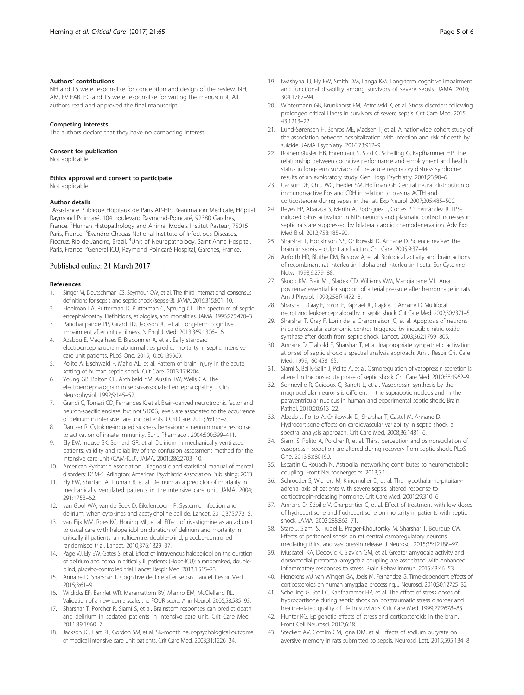# <span id="page-4-0"></span>Authors' contributions

NH and TS were responsible for conception and design of the review. NH, AM, FV FAB, FC and TS were responsible for writing the manuscript. All authors read and approved the final manuscript.

#### Competing interests

The authors declare that they have no competing interest.

#### Consent for publication

Not applicable.

Ethics approval and consent to participate Not applicable.

#### Author details

<sup>1</sup> Assistance Publique Hôpitaux de Paris AP-HP, Réanimation Médicale, Hôpital Raymond Poincaré, 104 boulevard Raymond-Poincaré, 92380 Garches, France. <sup>2</sup>Human Histopathology and Animal Models Institut Pasteur, 75015 Paris, France. <sup>3</sup>Evandro Chagas National Institute of Infectious Diseases, Fiocruz, Rio de Janeiro, Brazil. <sup>4</sup>Unit of Neuropathology, Saint Anne Hospital, Paris, France. <sup>5</sup>General ICU, Raymond Poincaré Hospital, Garches, France.

## Published online: 21 March 2017

#### References

- 1. Singer M, Deutschman CS, Seymour CW, et al. The third international consensus definitions for sepsis and septic shock (sepsis-3). JAMA. 2016;315:801–10.
- 2. Eidelman LA, Putterman D, Putterman C, Sprung CL. The spectrum of septic encephalopathy. Definitions, etiologies, and mortalities. JAMA. 1996;275:470–3.
- 3. Pandharipande PP, Girard TD, Jackson JC, et al. Long-term cognitive impairment after critical illness. N Engl J Med. 2013;369:1306–16.
- 4. Azabou E, Magalhaes E, Braconnier A, et al. Early standard electroencephalogram abnormalities predict mortality in septic intensive care unit patients. PLoS One. 2015;10:e0139969.
- 5. Polito A, Eischwald F, Maho AL, et al. Pattern of brain injury in the acute setting of human septic shock. Crit Care. 2013;17:R204.
- 6. Young GB, Bolton CF, Archibald YM, Austin TW, Wells GA. The electroencephalogram in sepsis-associated encephalopathy. J Clin Neurophysiol. 1992;9:145–52.
- Grandi C, Tomasi CD, Fernandes K, et al. Brain-derived neurotrophic factor and neuron-specific enolase, but not S100β, levels are associated to the occurrence of delirium in intensive care unit patients. J Crit Care. 2011;26:133–7.
- 8. Dantzer R. Cytokine-induced sickness behaviour: a neuroimmune response to activation of innate immunity. Eur J Pharmacol. 2004;500:399–411.
- 9. Ely EW, Inouye SK, Bernard GR, et al. Delirium in mechanically ventilated patients: validity and reliability of the confusion assessment method for the intensive care unit (CAM-ICU). JAMA. 2001;286:2703–10.
- 10. American Pychatric Association. Diagnostic and statistical manual of mental disorders: DSM-5. Arlington: American Psychiatric Association Publishing; 2013.
- 11. Ely EW, Shintani A, Truman B, et al. Delirium as a predictor of mortality in mechanically ventilated patients in the intensive care unit. JAMA. 2004; 291:1753–62.
- 12. van Gool WA, van de Beek D, Eikelenboom P. Systemic infection and delirium: when cytokines and acetylcholine collide. Lancet. 2010;375:773–5.
- 13. van Eijk MM, Roes KC, Honing ML, et al. Effect of rivastigmine as an adjunct to usual care with haloperidol on duration of delirium and mortality in critically ill patients: a multicentre, double-blind, placebo-controlled randomised trial. Lancet. 2010;376:1829–37.
- 14. Page VJ, Ely EW, Gates S, et al. Effect of intravenous haloperidol on the duration of delirium and coma in critically ill patients (Hope-ICU): a randomised, doubleblind, placebo-controlled trial. Lancet Respir Med. 2013;1:515–23.
- 15. Annane D, Sharshar T. Cognitive decline after sepsis. Lancet Respir Med. 2015;3:61–9.
- 16. Wijdicks EF, Bamlet WR, Maramattom BV, Manno EM, McClelland RL. Validation of a new coma scale: the FOUR score. Ann Neurol. 2005;58:585–93.
- 17. Sharshar T, Porcher R, Siami S, et al. Brainstem responses can predict death and delirium in sedated patients in intensive care unit. Crit Care Med. 2011;39:1960–7.
- 18. Jackson JC, Hart RP, Gordon SM, et al. Six-month neuropsychological outcome of medical intensive care unit patients. Crit Care Med. 2003;31:1226–34.
- 19. Iwashyna TJ, Ely EW, Smith DM, Langa KM. Long-term cognitive impairment and functional disability among survivors of severe sepsis. JAMA. 2010; 304:1787–94.
- 20. Wintermann GB, Brunkhorst FM, Petrowski K, et al. Stress disorders following prolonged critical illness in survivors of severe sepsis. Crit Care Med. 2015; 43:1213–22.
- 21. Lund-Sørensen H, Benros ME, Madsen T, et al. A nationwide cohort study of the association between hospitalization with infection and risk of death by suicide. JAMA Psychiatry. 2016;73:912–9.
- 22. Rothenhäusler HB, Ehrentraut S, Stoll C, Schelling G, Kapfhammer HP. The relationship between cognitive performance and employment and health status in long-term survivors of the acute respiratory distress syndrome: results of an exploratory study. Gen Hosp Psychiatry. 2001;23:90–6.
- 23. Carlson DE, Chiu WC, Fiedler SM, Hoffman GE. Central neural distribution of immunoreactive Fos and CRH in relation to plasma ACTH and corticosterone during sepsis in the rat. Exp Neurol. 2007;205:485–500.
- 24. Reyes EP, Abarzúa S, Martin A, Rodríguez J, Cortés PP, Fernández R. LPSinduced c-Fos activation in NTS neurons and plasmatic cortisol increases in septic rats are suppressed by bilateral carotid chemodenervation. Adv Exp Med Biol. 2012;758:185–90.
- 25. Sharshar T, Hopkinson NS, Orlikowski D, Annane D. Science review: The brain in sepsis – culprit and victim. Crit Care. 2005;9:37–44.
- 26. Anforth HR, Bluthe RM, Bristow A, et al. Biological activity and brain actions of recombinant rat interleukin-1alpha and interleukin-1beta. Eur Cytokine Netw. 1998;9:279–88.
- 27. Skoog KM, Blair ML, Sladek CD, Williams WM, Mangiapane ML. Area postrema: essential for support of arterial pressure after hemorrhage in rats. Am J Physiol. 1990;258:R1472–8.
- 28. Sharshar T, Gray F, Poron F, Raphael JC, Gajdos P, Annane D. Multifocal necrotizing leukoencephalopathy in septic shock. Crit Care Med. 2002;30:2371–5.
- 29. Sharshar T, Gray F, Lorin de la Grandmaison G, et al. Apoptosis of neurons in cardiovascular autonomic centres triggered by inducible nitric oxide synthase after death from septic shock. Lancet. 2003;362:1799–805.
- 30. Annane D, Trabold F, Sharshar T, et al. Inappropriate sympathetic activation at onset of septic shock: a spectral analysis approach. Am J Respir Crit Care Med. 1999;160:458–65.
- 31. Siami S, Bailly-Salin J, Polito A, et al. Osmoregulation of vasopressin secretion is altered in the postacute phase of septic shock. Crit Care Med. 2010;38:1962–9.
- 32. Sonneville R, Guidoux C, Barrett L, et al. Vasopressin synthesis by the magnocellular neurons is different in the supraoptic nucleus and in the paraventricular nucleus in human and experimental septic shock. Brain Pathol. 2010;20:613–22.
- 33. Aboab J, Polito A, Orlikowski D, Sharshar T, Castel M, Annane D. Hydrocortisone effects on cardiovascular variability in septic shock: a spectral analysis approach. Crit Care Med. 2008;36:1481–6.
- 34. Siami S, Polito A, Porcher R, et al. Thirst perception and osmoregulation of vasopressin secretion are altered during recovery from septic shock. PLoS One. 2013;8:e80190.
- 35. Escartin C, Rouach N. Astroglial networking contributes to neurometabolic coupling. Front Neuroenergetics. 2013;5:1.
- 36. Schroeder S, Wichers M, Klingmüller D, et al. The hypothalamic-pituitaryadrenal axis of patients with severe sepsis: altered response to corticotropin-releasing hormone. Crit Care Med. 2001;29:310–6.
- 37. Annane D, Sébille V, Charpentier C, et al. Effect of treatment with low doses of hydrocortisone and fludrocortisone on mortality in patients with septic shock. JAMA. 2002;288:862–71.
- 38. Stare J, Siami S, Trudel E, Prager-Khoutorsky M, Sharshar T, Bourque CW. Effects of peritoneal sepsis on rat central osmoregulatory neurons mediating thirst and vasopressin release. J Neurosci. 2015;35:12188–97.
- 39. Muscatell KA, Dedovic K, Slavich GM, et al. Greater amygdala activity and dorsomedial prefrontal-amygdala coupling are associated with enhanced inflammatory responses to stress. Brain Behav Immun. 2015;43:46–53.
- 40. Henckens MJ, van Wingen GA, Joels M, Fernandez G. Time-dependent effects of corticosteroids on human amygdala processing. J Neurosci. 2010;30:12725–32.
- 41. Schelling G, Stoll C, Kapfhammer HP, et al. The effect of stress doses of hydrocortisone during septic shock on posttraumatic stress disorder and health-related quality of life in survivors. Crit Care Med. 1999;27:2678–83.
- 42. Hunter RG. Epigenetic effects of stress and corticosteroids in the brain. Front Cell Neurosci. 2012;6:18.
- 43. Steckert AV, Comim CM, Igna DM, et al. Effects of sodium butyrate on aversive memory in rats submitted to sepsis. Neurosci Lett. 2015;595:134–8.